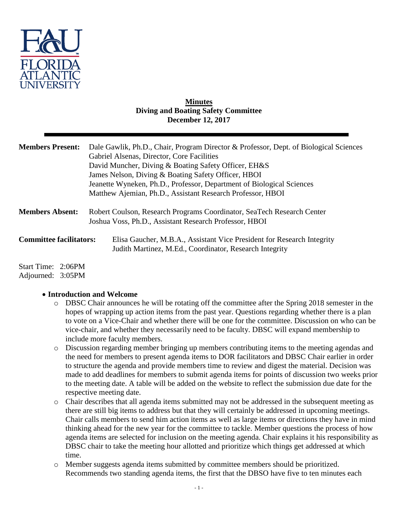

### **Minutes Diving and Boating Safety Committee December 12, 2017**

| <b>Members Present:</b>                 | Dale Gawlik, Ph.D., Chair, Program Director & Professor, Dept. of Biological Sciences<br>Gabriel Alsenas, Director, Core Facilities<br>David Muncher, Diving & Boating Safety Officer, EH&S<br>James Nelson, Diving & Boating Safety Officer, HBOI<br>Jeanette Wyneken, Ph.D., Professor, Department of Biological Sciences<br>Matthew Ajemian, Ph.D., Assistant Research Professor, HBOI |
|-----------------------------------------|-------------------------------------------------------------------------------------------------------------------------------------------------------------------------------------------------------------------------------------------------------------------------------------------------------------------------------------------------------------------------------------------|
| <b>Members Absent:</b>                  | Robert Coulson, Research Programs Coordinator, SeaTech Research Center<br>Joshua Voss, Ph.D., Assistant Research Professor, HBOI                                                                                                                                                                                                                                                          |
| <b>Committee facilitators:</b>          | Elisa Gaucher, M.B.A., Assistant Vice President for Research Integrity<br>Judith Martinez, M.Ed., Coordinator, Research Integrity                                                                                                                                                                                                                                                         |
| Start Time: 2:06PM<br>Adjourned: 3:05PM |                                                                                                                                                                                                                                                                                                                                                                                           |

# **Introduction and Welcome**

- o DBSC Chair announces he will be rotating off the committee after the Spring 2018 semester in the hopes of wrapping up action items from the past year. Questions regarding whether there is a plan to vote on a Vice-Chair and whether there will be one for the committee. Discussion on who can be vice-chair, and whether they necessarily need to be faculty. DBSC will expand membership to include more faculty members.
- o Discussion regarding member bringing up members contributing items to the meeting agendas and the need for members to present agenda items to DOR facilitators and DBSC Chair earlier in order to structure the agenda and provide members time to review and digest the material. Decision was made to add deadlines for members to submit agenda items for points of discussion two weeks prior to the meeting date. A table will be added on the website to reflect the submission due date for the respective meeting date.
- o Chair describes that all agenda items submitted may not be addressed in the subsequent meeting as there are still big items to address but that they will certainly be addressed in upcoming meetings. Chair calls members to send him action items as well as large items or directions they have in mind thinking ahead for the new year for the committee to tackle. Member questions the process of how agenda items are selected for inclusion on the meeting agenda. Chair explains it his responsibility as DBSC chair to take the meeting hour allotted and prioritize which things get addressed at which time.
- o Member suggests agenda items submitted by committee members should be prioritized. Recommends two standing agenda items, the first that the DBSO have five to ten minutes each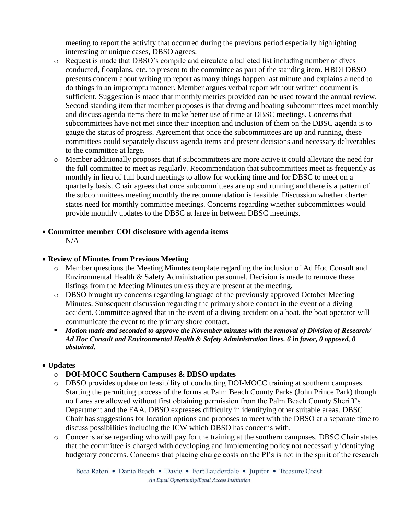meeting to report the activity that occurred during the previous period especially highlighting interesting or unique cases, DBSO agrees.

- o Request is made that DBSO's compile and circulate a bulleted list including number of dives conducted, floatplans, etc. to present to the committee as part of the standing item. HBOI DBSO presents concern about writing up report as many things happen last minute and explains a need to do things in an impromptu manner. Member argues verbal report without written document is sufficient. Suggestion is made that monthly metrics provided can be used toward the annual review. Second standing item that member proposes is that diving and boating subcommittees meet monthly and discuss agenda items there to make better use of time at DBSC meetings. Concerns that subcommittees have not met since their inception and inclusion of them on the DBSC agenda is to gauge the status of progress. Agreement that once the subcommittees are up and running, these committees could separately discuss agenda items and present decisions and necessary deliverables to the committee at large.
- o Member additionally proposes that if subcommittees are more active it could alleviate the need for the full committee to meet as regularly. Recommendation that subcommittees meet as frequently as monthly in lieu of full board meetings to allow for working time and for DBSC to meet on a quarterly basis. Chair agrees that once subcommittees are up and running and there is a pattern of the subcommittees meeting monthly the recommendation is feasible. Discussion whether charter states need for monthly committee meetings. Concerns regarding whether subcommittees would provide monthly updates to the DBSC at large in between DBSC meetings.

### **Committee member COI disclosure with agenda items**

 $N/A$ 

# **Review of Minutes from Previous Meeting**

- o Member questions the Meeting Minutes template regarding the inclusion of Ad Hoc Consult and Environmental Health & Safety Administration personnel. Decision is made to remove these listings from the Meeting Minutes unless they are present at the meeting.
- o DBSO brought up concerns regarding language of the previously approved October Meeting Minutes. Subsequent discussion regarding the primary shore contact in the event of a diving accident. Committee agreed that in the event of a diving accident on a boat, the boat operator will communicate the event to the primary shore contact.
- *Motion made and seconded to approve the November minutes with the removal of Division of Research/ Ad Hoc Consult and Environmental Health & Safety Administration lines. 6 in favor, 0 opposed, 0 abstained.*

# **Updates**

- o **DOI-MOCC Southern Campuses & DBSO updates**
- o DBSO provides update on feasibility of conducting DOI-MOCC training at southern campuses. Starting the permitting process of the forms at Palm Beach County Parks (John Prince Park) though no flares are allowed without first obtaining permission from the Palm Beach County Sheriff's Department and the FAA. DBSO expresses difficulty in identifying other suitable areas. DBSC Chair has suggestions for location options and proposes to meet with the DBSO at a separate time to discuss possibilities including the ICW which DBSO has concerns with.
- o Concerns arise regarding who will pay for the training at the southern campuses. DBSC Chair states that the committee is charged with developing and implementing policy not necessarily identifying budgetary concerns. Concerns that placing charge costs on the PI's is not in the spirit of the research